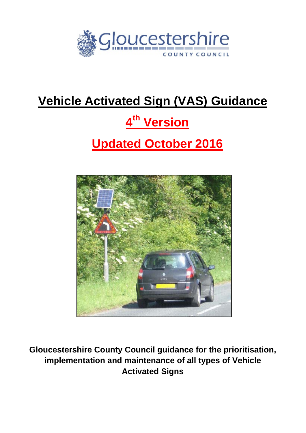

# **Vehicle Activated Sign (VAS) Guidance**

# **4th Version**

# **Updated October 2016**



**Gloucestershire County Council guidance for the prioritisation, implementation and maintenance of all types of Vehicle Activated Signs**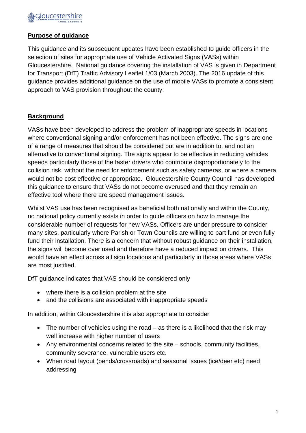

#### **Purpose of guidance**

This guidance and its subsequent updates have been established to guide officers in the selection of sites for appropriate use of Vehicle Activated Signs (VASs) within Gloucestershire. National guidance covering the installation of VAS is given in Department for Transport (DfT) Traffic Advisory Leaflet 1/03 (March 2003). The 2016 update of this guidance provides additional guidance on the use of mobile VASs to promote a consistent approach to VAS provision throughout the county.

### **Background**

VASs have been developed to address the problem of inappropriate speeds in locations where conventional signing and/or enforcement has not been effective. The signs are one of a range of measures that should be considered but are in addition to, and not an alternative to conventional signing. The signs appear to be effective in reducing vehicles speeds particularly those of the faster drivers who contribute disproportionately to the collision risk, without the need for enforcement such as safety cameras, or where a camera would not be cost effective or appropriate. Gloucestershire County Council has developed this guidance to ensure that VASs do not become overused and that they remain an effective tool where there are speed management issues.

Whilst VAS use has been recognised as beneficial both nationally and within the County, no national policy currently exists in order to guide officers on how to manage the considerable number of requests for new VASs. Officers are under pressure to consider many sites, particularly where Parish or Town Councils are willing to part fund or even fully fund their installation. There is a concern that without robust guidance on their installation, the signs will become over used and therefore have a reduced impact on drivers. This would have an effect across all sign locations and particularly in those areas where VASs are most justified.

DfT guidance indicates that VAS should be considered only

- where there is a collision problem at the site
- and the collisions are associated with inappropriate speeds

In addition, within Gloucestershire it is also appropriate to consider

- The number of vehicles using the road as there is a likelihood that the risk may well increase with higher number of users
- Any environmental concerns related to the site schools, community facilities, community severance, vulnerable users etc.
- When road layout (bends/crossroads) and seasonal issues (ice/deer etc) need addressing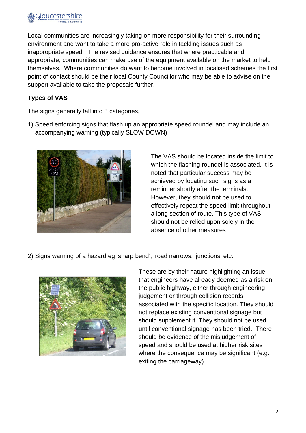

Local communities are increasingly taking on more responsibility for their surrounding environment and want to take a more pro-active role in tackling issues such as inappropriate speed. The revised guidance ensures that where practicable and appropriate, communities can make use of the equipment available on the market to help themselves. Where communities do want to become involved in localised schemes the first point of contact should be their local County Councillor who may be able to advise on the support available to take the proposals further.

# **Types of VAS**

The signs generally fall into 3 categories,

1) Speed enforcing signs that flash up an appropriate speed roundel and may include an accompanying warning (typically SLOW DOWN)



The VAS should be located inside the limit to which the flashing roundel is associated. It is noted that particular success may be achieved by locating such signs as a reminder shortly after the terminals. However, they should not be used to effectively repeat the speed limit throughout a long section of route. This type of VAS should not be relied upon solely in the absence of other measures

2) Signs warning of a hazard eg 'sharp bend', 'road narrows, 'junctions' etc.



These are by their nature highlighting an issue that engineers have already deemed as a risk on the public highway, either through engineering judgement or through collision records associated with the specific location. They should not replace existing conventional signage but should supplement it. They should not be used until conventional signage has been tried. There should be evidence of the misjudgement of speed and should be used at higher risk sites where the consequence may be significant (e.g. exiting the carriageway)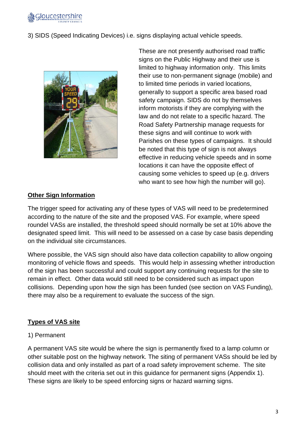

3) SIDS (Speed Indicating Devices) i.e. signs displaying actual vehicle speeds.



These are not presently authorised road traffic signs on the Public Highway and their use is limited to highway information only. This limits their use to non-permanent signage (mobile) and to limited time periods in varied locations, generally to support a specific area based road safety campaign. SIDS do not by themselves inform motorists if they are complying with the law and do not relate to a specific hazard. The Road Safety Partnership manage requests for these signs and will continue to work with Parishes on these types of campaigns. It should be noted that this type of sign is not always effective in reducing vehicle speeds and in some locations it can have the opposite effect of causing some vehicles to speed up (e.g. drivers who want to see how high the number will go).

#### **Other Sign Information**

The trigger speed for activating any of these types of VAS will need to be predetermined according to the nature of the site and the proposed VAS. For example, where speed roundel VASs are installed, the threshold speed should normally be set at 10% above the designated speed limit. This will need to be assessed on a case by case basis depending on the individual site circumstances.

Where possible, the VAS sign should also have data collection capability to allow ongoing monitoring of vehicle flows and speeds. This would help in assessing whether introduction of the sign has been successful and could support any continuing requests for the site to remain in effect. Other data would still need to be considered such as impact upon collisions. Depending upon how the sign has been funded (see section on VAS Funding), there may also be a requirement to evaluate the success of the sign.

### **Types of VAS site**

#### 1) Permanent

A permanent VAS site would be where the sign is permanently fixed to a lamp column or other suitable post on the highway network. The siting of permanent VASs should be led by collision data and only installed as part of a road safety improvement scheme. The site should meet with the criteria set out in this guidance for permanent signs (Appendix 1). These signs are likely to be speed enforcing signs or hazard warning signs.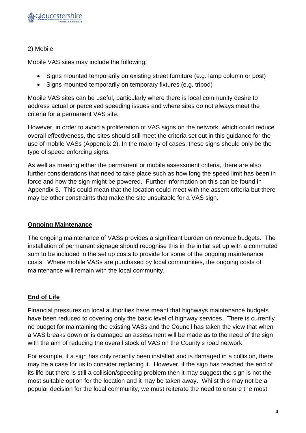

#### 2) Mobile

Mobile VAS sites may include the following;

- Signs mounted temporarily on existing street furniture (e.g. lamp column or post)
- Signs mounted temporarily on temporary fixtures (e.g. tripod)

Mobile VAS sites can be useful, particularly where there is local community desire to address actual or perceived speeding issues and where sites do not always meet the criteria for a permanent VAS site.

However, in order to avoid a proliferation of VAS signs on the network, which could reduce overall effectiveness, the sites should still meet the criteria set out in this guidance for the use of mobile VASs (Appendix 2). In the majority of cases, these signs should only be the type of speed enforcing signs.

As well as meeting either the permanent or mobile assessment criteria, there are also further considerations that need to take place such as how long the speed limit has been in force and how the sign might be powered. Further information on this can be found in Appendix 3. This could mean that the location could meet with the assent criteria but there may be other constraints that make the site unsuitable for a VAS sign.

### **Ongoing Maintenance**

The ongoing maintenance of VASs provides a significant burden on revenue budgets. The installation of permanent signage should recognise this in the initial set up with a commuted sum to be included in the set up costs to provide for some of the ongoing maintenance costs. Where mobile VASs are purchased by local communities, the ongoing costs of maintenance will remain with the local community.

# **End of Life**

Financial pressures on local authorities have meant that highways maintenance budgets have been reduced to covering only the basic level of highway services. There is currently no budget for maintaining the existing VASs and the Council has taken the view that when a VAS breaks down or is damaged an assessment will be made as to the need of the sign with the aim of reducing the overall stock of VAS on the County's road network.

For example, if a sign has only recently been installed and is damaged in a collision, there may be a case for us to consider replacing it. However, if the sign has reached the end of its life but there is still a collision/speeding problem then it may suggest the sign is not the most suitable option for the location and it may be taken away. Whilst this may not be a popular decision for the local community, we must reiterate the need to ensure the most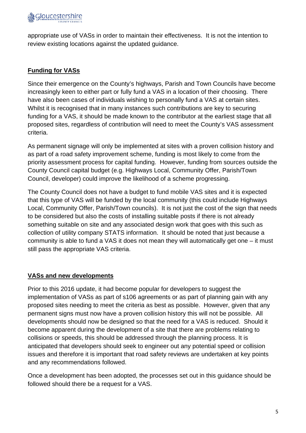

appropriate use of VASs in order to maintain their effectiveness. It is not the intention to review existing locations against the updated guidance.

## **Funding for VASs**

Since their emergence on the County's highways, Parish and Town Councils have become increasingly keen to either part or fully fund a VAS in a location of their choosing. There have also been cases of individuals wishing to personally fund a VAS at certain sites. Whilst it is recognised that in many instances such contributions are key to securing funding for a VAS, it should be made known to the contributor at the earliest stage that all proposed sites, regardless of contribution will need to meet the County's VAS assessment criteria.

As permanent signage will only be implemented at sites with a proven collision history and as part of a road safety improvement scheme, funding is most likely to come from the priority assessment process for capital funding. However, funding from sources outside the County Council capital budget (e.g. Highways Local, Community Offer, Parish/Town Council, developer) could improve the likelihood of a scheme progressing.

The County Council does not have a budget to fund mobile VAS sites and it is expected that this type of VAS will be funded by the local community (this could include Highways Local, Community Offer, Parish/Town councils). It is not just the cost of the sign that needs to be considered but also the costs of installing suitable posts if there is not already something suitable on site and any associated design work that goes with this such as collection of utility company STATS information. It should be noted that just because a community is able to fund a VAS it does not mean they will automatically get one – it must still pass the appropriate VAS criteria.

### **VASs and new developments**

Prior to this 2016 update, it had become popular for developers to suggest the implementation of VASs as part of s106 agreements or as part of planning gain with any proposed sites needing to meet the criteria as best as possible. However, given that any permanent signs must now have a proven collision history this will not be possible. All developments should now be designed so that the need for a VAS is reduced. Should it become apparent during the development of a site that there are problems relating to collisions or speeds, this should be addressed through the planning process. It is anticipated that developers should seek to engineer out any potential speed or collision issues and therefore it is important that road safety reviews are undertaken at key points and any recommendations followed.

Once a development has been adopted, the processes set out in this guidance should be followed should there be a request for a VAS.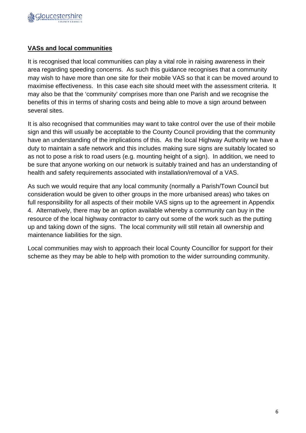

#### **VASs and local communities**

It is recognised that local communities can play a vital role in raising awareness in their area regarding speeding concerns. As such this guidance recognises that a community may wish to have more than one site for their mobile VAS so that it can be moved around to maximise effectiveness. In this case each site should meet with the assessment criteria. It may also be that the 'community' comprises more than one Parish and we recognise the benefits of this in terms of sharing costs and being able to move a sign around between several sites.

It is also recognised that communities may want to take control over the use of their mobile sign and this will usually be acceptable to the County Council providing that the community have an understanding of the implications of this. As the local Highway Authority we have a duty to maintain a safe network and this includes making sure signs are suitably located so as not to pose a risk to road users (e.g. mounting height of a sign). In addition, we need to be sure that anyone working on our network is suitably trained and has an understanding of health and safety requirements associated with installation/removal of a VAS.

As such we would require that any local community (normally a Parish/Town Council but consideration would be given to other groups in the more urbanised areas) who takes on full responsibility for all aspects of their mobile VAS signs up to the agreement in Appendix 4. Alternatively, there may be an option available whereby a community can buy in the resource of the local highway contractor to carry out some of the work such as the putting up and taking down of the signs. The local community will still retain all ownership and maintenance liabilities for the sign.

Local communities may wish to approach their local County Councillor for support for their scheme as they may be able to help with promotion to the wider surrounding community.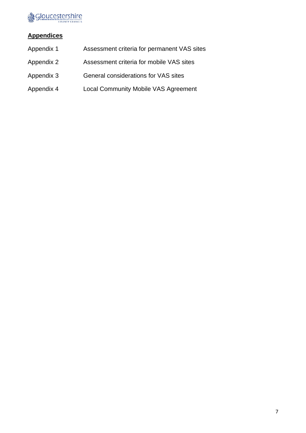

# **Appendices**

- Appendix 1 Assessment criteria for permanent VAS sites
- Appendix 2 Assessment criteria for mobile VAS sites
- Appendix 3 General considerations for VAS sites
- Appendix 4 Local Community Mobile VAS Agreement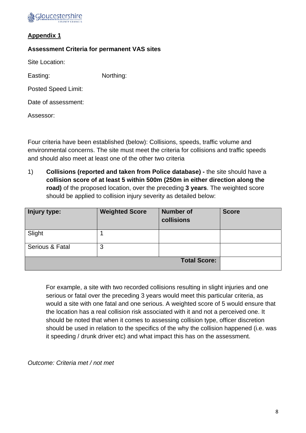

#### **Assessment Criteria for permanent VAS sites**

Site Location:

Easting: Northing:

Posted Speed Limit:

Date of assessment:

Assessor:

Four criteria have been established (below): Collisions, speeds, traffic volume and environmental concerns. The site must meet the criteria for collisions and traffic speeds and should also meet at least one of the other two criteria

1) **Collisions (reported and taken from Police database) -** the site should have a **collision score of at least 5 within 500m (250m in either direction along the road)** of the proposed location, over the preceding **3 years**. The weighted score should be applied to collision injury severity as detailed below:

| Injury type:    | <b>Weighted Score</b> | <b>Number of</b><br>collisions | <b>Score</b> |
|-----------------|-----------------------|--------------------------------|--------------|
| Slight          |                       |                                |              |
| Serious & Fatal | 3                     |                                |              |
|                 |                       | <b>Total Score:</b>            |              |

For example, a site with two recorded collisions resulting in slight injuries and one serious or fatal over the preceding 3 years would meet this particular criteria, as would a site with one fatal and one serious. A weighted score of 5 would ensure that the location has a real collision risk associated with it and not a perceived one. It should be noted that when it comes to assessing collision type, officer discretion should be used in relation to the specifics of the why the collision happened (i.e. was it speeding / drunk driver etc) and what impact this has on the assessment.

*Outcome: Criteria met / not met*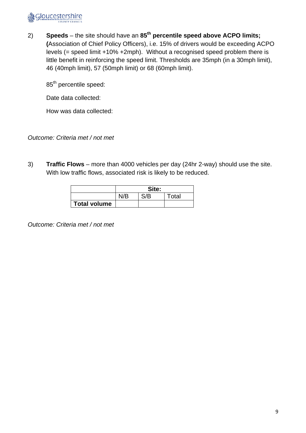

2) **Speeds** – the site should have an **85th percentile speed above ACPO limits; (**Association of Chief Policy Officers), i.e. 15% of drivers would be exceeding ACPO levels (= speed limit +10% +2mph). Without a recognised speed problem there is little benefit in reinforcing the speed limit. Thresholds are 35mph (in a 30mph limit), 46 (40mph limit), 57 (50mph limit) or 68 (60mph limit).

85<sup>th</sup> percentile speed:

Date data collected:

How was data collected:

*Outcome: Criteria met / not met* 

3) **Traffic Flows** – more than 4000 vehicles per day (24hr 2-way) should use the site. With low traffic flows, associated risk is likely to be reduced.

|                     | Site: |     |       |
|---------------------|-------|-----|-------|
|                     | N/R   | S/B | Total |
| <b>Total volume</b> |       |     |       |

*Outcome: Criteria met / not met*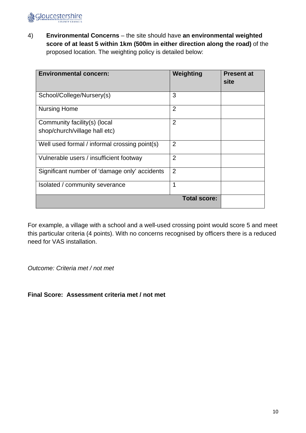

4) **Environmental Concerns** – the site should have **an environmental weighted score of at least 5 within 1km (500m in either direction along the road)** of the proposed location. The weighting policy is detailed below:

| <b>Environmental concern:</b>                 | Weighting           | <b>Present at</b><br>site |
|-----------------------------------------------|---------------------|---------------------------|
| School/College/Nursery(s)                     | 3                   |                           |
| <b>Nursing Home</b>                           | $\overline{2}$      |                           |
| Community facility(s) (local                  | $\overline{2}$      |                           |
| shop/church/village hall etc)                 |                     |                           |
| Well used formal / informal crossing point(s) | $\overline{2}$      |                           |
| Vulnerable users / insufficient footway       | $\overline{2}$      |                           |
| Significant number of 'damage only' accidents | $\overline{2}$      |                           |
| Isolated / community severance                | 1                   |                           |
|                                               | <b>Total score:</b> |                           |

For example, a village with a school and a well-used crossing point would score 5 and meet this particular criteria (4 points). With no concerns recognised by officers there is a reduced need for VAS installation.

*Outcome: Criteria met / not met* 

#### **Final Score: Assessment criteria met / not met**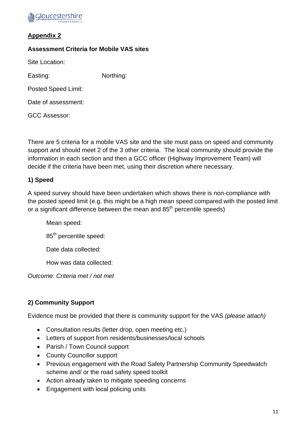

#### **Assessment Criteria for Mobile VAS sites**

Site Location:

Easting: Northing:

Posted Speed Limit:

Date of assessment:

GCC Assessor:

There are 5 criteria for a mobile VAS site and the site must pass on speed and community support and should meet 2 of the 3 other criteria. The local community should provide the information in each section and then a GCC officer (Highway Improvement Team) will decide if the criteria have been met, using their discretion where necessary.

#### **1) Speed**

A speed survey should have been undertaken which shows there is non-compliance with the posted speed limit (e.g. this might be a high mean speed compared with the posted limit or a significant difference between the mean and 85<sup>th</sup> percentile speeds)

Mean speed:

85<sup>th</sup> percentile speed:

Date data collected:

How was data collected:

*Outcome: Criteria met / not met* 

### **2) Community Support**

Evidence must be provided that there is community support for the VAS *(please attach)* 

- Consultation results (letter drop, open meeting etc.)
- Letters of support from residents/businesses/local schools
- Parish / Town Council support
- County Councillor support
- Previous engagement with the Road Safety Partnership Community Speedwatch scheme and/ or the road safety speed toolkit
- Action already taken to mitigate speeding concerns
- Engagement with local policing units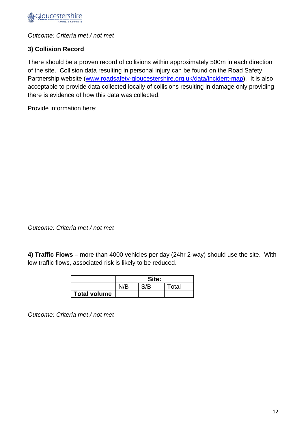

*Outcome: Criteria met / not met* 

# **3) Collision Record**

There should be a proven record of collisions within approximately 500m in each direction of the site. Collision data resulting in personal injury can be found on the Road Safety Partnership website (www.roadsafety-gloucestershire.org.uk/data/incident-map). It is also acceptable to provide data collected locally of collisions resulting in damage only providing there is evidence of how this data was collected.

Provide information here:

*Outcome: Criteria met / not met* 

**4) Traffic Flows** – more than 4000 vehicles per day (24hr 2-way) should use the site. With low traffic flows, associated risk is likely to be reduced.

|                     | Site: |  |       |
|---------------------|-------|--|-------|
|                     |       |  | Total |
| <b>Total volume</b> |       |  |       |

*Outcome: Criteria met / not met*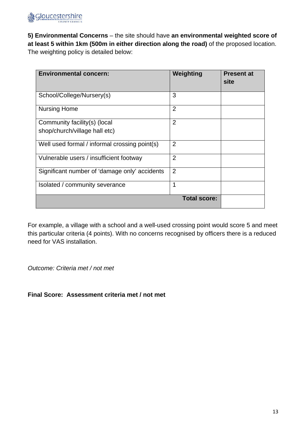

**5) Environmental Concerns** – the site should have **an environmental weighted score of at least 5 within 1km (500m in either direction along the road)** of the proposed location. The weighting policy is detailed below:

| <b>Environmental concern:</b>                 | Weighting           | <b>Present at</b><br>site |
|-----------------------------------------------|---------------------|---------------------------|
| School/College/Nursery(s)                     | 3                   |                           |
| <b>Nursing Home</b>                           | $\overline{2}$      |                           |
| Community facility(s) (local                  | $\overline{2}$      |                           |
| shop/church/village hall etc)                 |                     |                           |
| Well used formal / informal crossing point(s) | 2                   |                           |
| Vulnerable users / insufficient footway       | $\overline{2}$      |                           |
| Significant number of 'damage only' accidents | $\overline{2}$      |                           |
| Isolated / community severance                | 1                   |                           |
|                                               | <b>Total score:</b> |                           |

For example, a village with a school and a well-used crossing point would score 5 and meet this particular criteria (4 points). With no concerns recognised by officers there is a reduced need for VAS installation.

*Outcome: Criteria met / not met* 

#### **Final Score: Assessment criteria met / not met**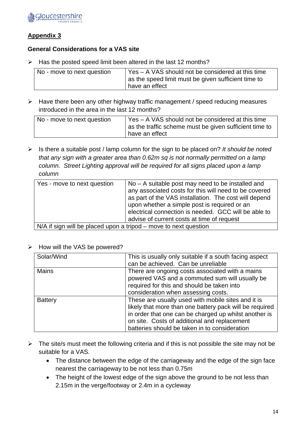

#### **General Considerations for a VAS site**

 $\triangleright$  Has the posted speed limit been altered in the last 12 months?

| No - move to next question | Yes – A VAS should not be considered at this time<br>as the speed limit must be given sufficient time to |
|----------------------------|----------------------------------------------------------------------------------------------------------|
|                            | have an effect                                                                                           |

 $\triangleright$  Have there been any other highway traffic management / speed reducing measures introduced in the area in the last 12 months?

| No - move to next question | Yes – A VAS should not be considered at this time<br>as the traffic scheme must be given sufficient time to<br>have an effect |
|----------------------------|-------------------------------------------------------------------------------------------------------------------------------|
|----------------------------|-------------------------------------------------------------------------------------------------------------------------------|

 Is there a suitable post / lamp column for the sign to be placed on? *It should be noted that any sign with a greater area than 0.62m sq is not normally permitted on a lamp column. Street Lighting approval will be required for all signs placed upon a lamp column* 

| Yes - move to next question                                      | $No - A$ suitable post may need to be installed and<br>any associated costs for this will need to be covered<br>as part of the VAS installation. The cost will depend<br>upon whether a simple post is required or an<br>electrical connection is needed. GCC will be able to<br>advise of current costs at time of request |
|------------------------------------------------------------------|-----------------------------------------------------------------------------------------------------------------------------------------------------------------------------------------------------------------------------------------------------------------------------------------------------------------------------|
| N/A if sign will be placed upon a tripod – move to next question |                                                                                                                                                                                                                                                                                                                             |
|                                                                  |                                                                                                                                                                                                                                                                                                                             |

 $\triangleright$  How will the VAS be powered?

| Solar/Wind     | This is usually only suitable if a south facing aspect  |
|----------------|---------------------------------------------------------|
|                | can be achieved. Can be unreliable                      |
| <b>Mains</b>   | There are ongoing costs associated with a mains         |
|                | powered VAS and a commuted sum will usually be          |
|                | required for this and should be taken into              |
|                | consideration when assessing costs.                     |
| <b>Battery</b> | These are usually used with mobile sites and it is      |
|                | likely that more than one battery pack will be required |
|                | in order that one can be charged up whilst another is   |
|                | on site. Costs of additional and replacement            |
|                | batteries should be taken in to consideration           |

- $\triangleright$  The site/s must meet the following criteria and if this is not possible the site may not be suitable for a VAS.
	- The distance between the edge of the carriageway and the edge of the sign face nearest the carriageway to be not less than 0.75m
	- The height of the lowest edge of the sign above the ground to be not less than 2.15m in the verge/footway or 2.4m in a cycleway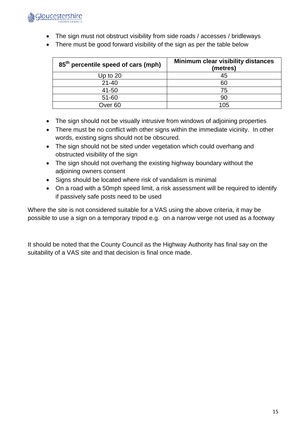

- The sign must not obstruct visibility from side roads / accesses / bridleways
- There must be good forward visibility of the sign as per the table below

| 85 <sup>th</sup> percentile speed of cars (mph) | <b>Minimum clear visibility distances</b><br>(metres) |
|-------------------------------------------------|-------------------------------------------------------|
| Up to $20$                                      | 45                                                    |
| $21 - 40$                                       | 60                                                    |
| 41-50                                           | 75                                                    |
| 51-60                                           | 90                                                    |
| Over 60                                         | 105                                                   |

- The sign should not be visually intrusive from windows of adjoining properties
- There must be no conflict with other signs within the immediate vicinity. In other words, existing signs should not be obscured.
- The sign should not be sited under vegetation which could overhang and obstructed visibility of the sign
- The sign should not overhang the existing highway boundary without the adjoining owners consent
- Signs should be located where risk of vandalism is minimal
- On a road with a 50mph speed limit, a risk assessment will be required to identify if passively safe posts need to be used

Where the site is not considered suitable for a VAS using the above criteria, it may be possible to use a sign on a temporary tripod e.g. on a narrow verge not used as a footway

It should be noted that the County Council as the Highway Authority has final say on the suitability of a VAS site and that decision is final once made.